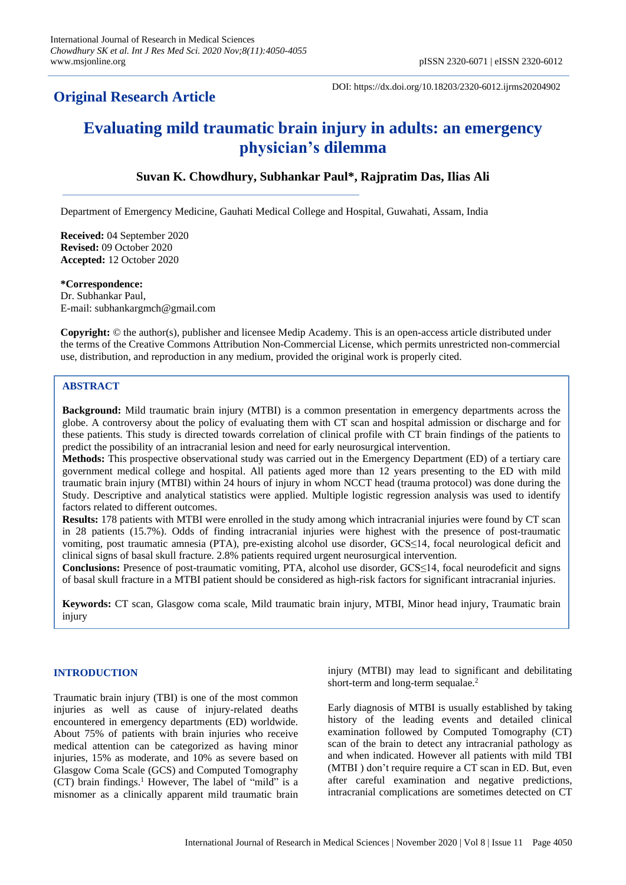## **Original Research Article**

DOI: https://dx.doi.org/10.18203/2320-6012.ijrms20204902

# **Evaluating mild traumatic brain injury in adults: an emergency physician's dilemma**

## **Suvan K. Chowdhury, Subhankar Paul\*, Rajpratim Das, Ilias Ali**

Department of Emergency Medicine, Gauhati Medical College and Hospital, Guwahati, Assam, India

**Received:** 04 September 2020 **Revised:** 09 October 2020 **Accepted:** 12 October 2020

**\*Correspondence:** Dr. Subhankar Paul, E-mail: subhankargmch@gmail.com

**Copyright:** © the author(s), publisher and licensee Medip Academy. This is an open-access article distributed under the terms of the Creative Commons Attribution Non-Commercial License, which permits unrestricted non-commercial use, distribution, and reproduction in any medium, provided the original work is properly cited.

### **ABSTRACT**

**Background:** Mild traumatic brain injury (MTBI) is a common presentation in emergency departments across the globe. A controversy about the policy of evaluating them with CT scan and hospital admission or discharge and for these patients. This study is directed towards correlation of clinical profile with CT brain findings of the patients to predict the possibility of an intracranial lesion and need for early neurosurgical intervention.

**Methods:** This prospective observational study was carried out in the Emergency Department (ED) of a tertiary care government medical college and hospital. All patients aged more than 12 years presenting to the ED with mild traumatic brain injury (MTBI) within 24 hours of injury in whom NCCT head (trauma protocol) was done during the Study. Descriptive and analytical statistics were applied. Multiple logistic regression analysis was used to identify factors related to different outcomes.

**Results:** 178 patients with MTBI were enrolled in the study among which intracranial injuries were found by CT scan in 28 patients (15.7%). Odds of finding intracranial injuries were highest with the presence of post-traumatic vomiting, post traumatic amnesia (PTA), pre-existing alcohol use disorder, GCS≤14, focal neurological deficit and clinical signs of basal skull fracture. 2.8% patients required urgent neurosurgical intervention.

**Conclusions:** Presence of post-traumatic vomiting, PTA, alcohol use disorder, GCS≤14, focal neurodeficit and signs of basal skull fracture in a MTBI patient should be considered as high-risk factors for significant intracranial injuries.

**Keywords:** CT scan, Glasgow coma scale, Mild traumatic brain injury, MTBI, Minor head injury, Traumatic brain injury

#### **INTRODUCTION**

Traumatic brain injury (TBI) is one of the most common injuries as well as cause of injury-related deaths encountered in emergency departments (ED) worldwide. About 75% of patients with brain injuries who receive medical attention can be categorized as having minor injuries, 15% as moderate, and 10% as severe based on Glasgow Coma Scale (GCS) and Computed Tomography  $(CT)$  brain findings.<sup>1</sup> However, The label of "mild" is a misnomer as a clinically apparent mild traumatic brain injury (MTBI) may lead to significant and debilitating short-term and long-term sequalae.<sup>2</sup>

Early diagnosis of MTBI is usually established by taking history of the leading events and detailed clinical examination followed by Computed Tomography (CT) scan of the brain to detect any intracranial pathology as and when indicated. However all patients with mild TBI (MTBI ) don't require require a CT scan in ED. But, even after careful examination and negative predictions, intracranial complications are sometimes detected on CT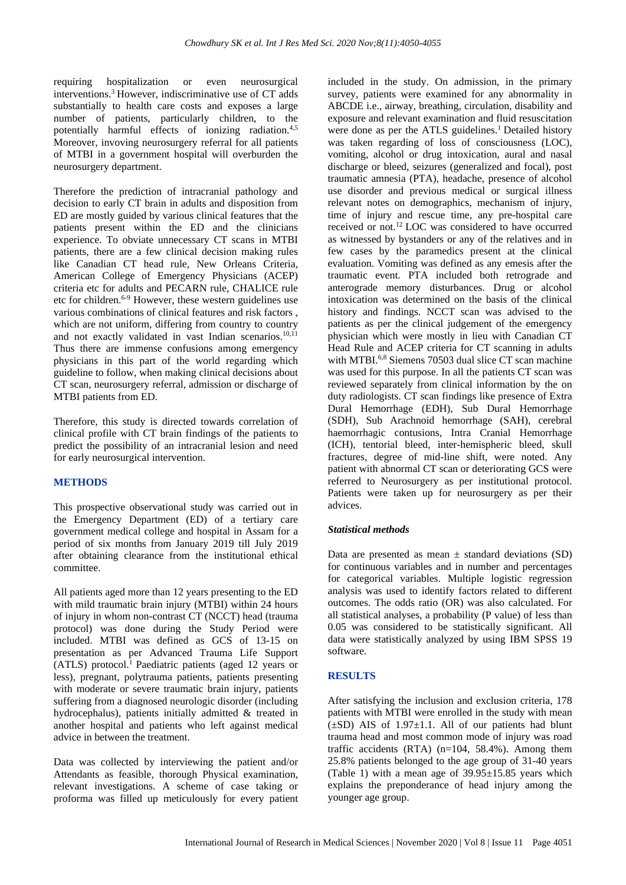requiring hospitalization or even neurosurgical interventions.<sup>3</sup> However, indiscriminative use of CT adds substantially to health care costs and exposes a large number of patients, particularly children, to the potentially harmful effects of ionizing radiation.<sup>4,5</sup> Moreover, invoving neurosurgery referral for all patients of MTBI in a government hospital will overburden the neurosurgery department.

Therefore the prediction of intracranial pathology and decision to early CT brain in adults and disposition from ED are mostly guided by various clinical features that the patients present within the ED and the clinicians experience. To obviate unnecessary CT scans in MTBI patients, there are a few clinical decision making rules like Canadian CT head rule, New Orleans Criteria, American College of Emergency Physicians (ACEP) criteria etc for adults and PECARN rule, CHALICE rule etc for children. 6-9 However, these western guidelines use various combinations of clinical features and risk factors , which are not uniform, differing from country to country and not exactly validated in vast Indian scenarios.<sup>10,11</sup> Thus there are immense confusions among emergency physicians in this part of the world regarding which guideline to follow, when making clinical decisions about CT scan, neurosurgery referral, admission or discharge of MTBI patients from ED.

Therefore, this study is directed towards correlation of clinical profile with CT brain findings of the patients to predict the possibility of an intracranial lesion and need for early neurosurgical intervention.

#### **METHODS**

This prospective observational study was carried out in the Emergency Department (ED) of a tertiary care government medical college and hospital in Assam for a period of six months from January 2019 till July 2019 after obtaining clearance from the institutional ethical committee.

All patients aged more than 12 years presenting to the ED with mild traumatic brain injury (MTBI) within 24 hours of injury in whom non-contrast CT (NCCT) head (trauma protocol) was done during the Study Period were included. MTBI was defined as GCS of 13-15 on presentation as per Advanced Trauma Life Support  $(ATLS)$  protocol.<sup>1</sup> Paediatric patients (aged 12 years or less), pregnant, polytrauma patients, patients presenting with moderate or severe traumatic brain injury, patients suffering from a diagnosed neurologic disorder (including hydrocephalus), patients initially admitted & treated in another hospital and patients who left against medical advice in between the treatment.

Data was collected by interviewing the patient and/or Attendants as feasible, thorough Physical examination, relevant investigations. A scheme of case taking or proforma was filled up meticulously for every patient included in the study. On admission, in the primary survey, patients were examined for any abnormality in ABCDE i.e., airway, breathing, circulation, disability and exposure and relevant examination and fluid resuscitation were done as per the ATLS guidelines.<sup>1</sup> Detailed history was taken regarding of loss of consciousness (LOC), vomiting, alcohol or drug intoxication, aural and nasal discharge or bleed, seizures (generalized and focal), post traumatic amnesia (PTA), headache, presence of alcohol use disorder and previous medical or surgical illness relevant notes on demographics, mechanism of injury, time of injury and rescue time, any pre-hospital care received or not.<sup>12</sup> LOC was considered to have occurred as witnessed by bystanders or any of the relatives and in few cases by the paramedics present at the clinical evaluation. Vomiting was defined as any emesis after the traumatic event. PTA included both retrograde and anterograde memory disturbances. Drug or alcohol intoxication was determined on the basis of the clinical history and findings. NCCT scan was advised to the patients as per the clinical judgement of the emergency physician which were mostly in lieu with Canadian CT Head Rule and ACEP criteria for CT scanning in adults with MTBI.<sup>6,8</sup> Siemens 70503 dual slice CT scan machine was used for this purpose. In all the patients CT scan was reviewed separately from clinical information by the on duty radiologists. CT scan findings like presence of Extra Dural Hemorrhage (EDH), Sub Dural Hemorrhage (SDH), Sub Arachnoid hemorrhage (SAH), cerebral haemorrhagic contusions, Intra Cranial Hemorrhage (ICH), tentorial bleed, inter-hemispheric bleed, skull fractures, degree of mid-line shift, were noted. Any patient with abnormal CT scan or deteriorating GCS were referred to Neurosurgery as per institutional protocol. Patients were taken up for neurosurgery as per their advices.

#### *Statistical methods*

Data are presented as mean  $\pm$  standard deviations (SD) for continuous variables and in number and percentages for categorical variables. Multiple logistic regression analysis was used to identify factors related to different outcomes. The odds ratio (OR) was also calculated. For all statistical analyses, a probability (P value) of less than 0.05 was considered to be statistically significant. All data were statistically analyzed by using IBM SPSS 19 software.

#### **RESULTS**

After satisfying the inclusion and exclusion criteria, 178 patients with MTBI were enrolled in the study with mean  $(\pm SD)$  AIS of 1.97 $\pm$ 1.1. All of our patients had blunt trauma head and most common mode of injury was road traffic accidents  $(RTA)$  (n=104, 58.4%). Among them 25.8% patients belonged to the age group of 31-40 years (Table 1) with a mean age of  $39.95 \pm 15.85$  years which explains the preponderance of head injury among the younger age group.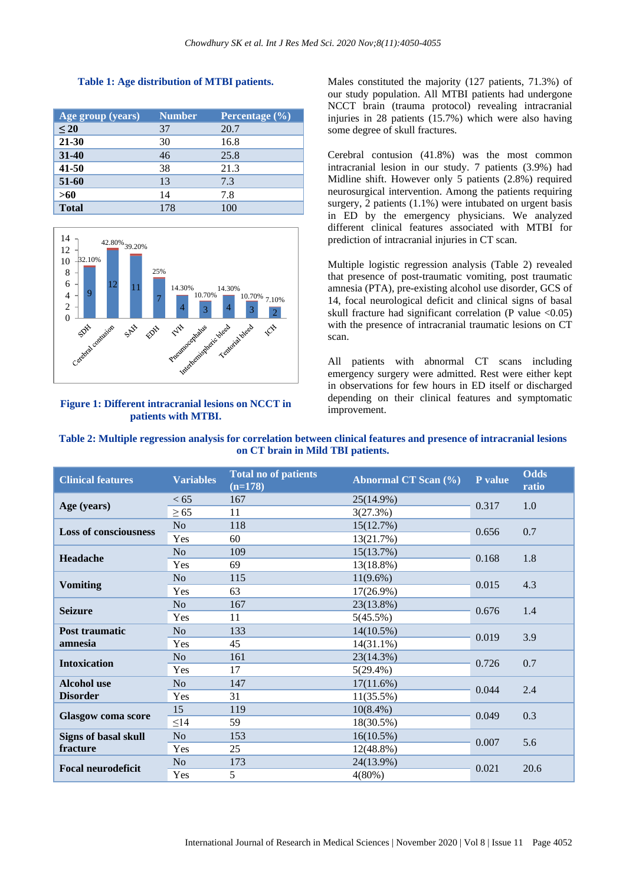| Age group (years) | <b>Number</b> | <b>Percentage</b> $(\%)$ |
|-------------------|---------------|--------------------------|
| $\leq 20$         | 37            | 20.7                     |
| 21-30             | 30            | 16.8                     |
| 31-40             | 46            | 25.8                     |
| $41 - 50$         | 38            | 21.3                     |
| 51-60             | 13            | 7.3                      |
| $>60$             | 14            | 7.8                      |
| <b>Total</b>      | 178           | 100                      |





#### **Figure 1: Different intracranial lesions on NCCT in patients with MTBI.**

Males constituted the majority (127 patients, 71.3%) of our study population. All MTBI patients had undergone NCCT brain (trauma protocol) revealing intracranial injuries in 28 patients (15.7%) which were also having some degree of skull fractures.

Cerebral contusion (41.8%) was the most common intracranial lesion in our study. 7 patients (3.9%) had Midline shift. However only 5 patients (2.8%) required neurosurgical intervention. Among the patients requiring surgery, 2 patients (1.1%) were intubated on urgent basis in ED by the emergency physicians. We analyzed different clinical features associated with MTBI for prediction of intracranial injuries in CT scan.

Multiple logistic regression analysis (Table 2) revealed that presence of post-traumatic vomiting, post traumatic amnesia (PTA), pre-existing alcohol use disorder, GCS of 14, focal neurological deficit and clinical signs of basal skull fracture had significant correlation (P value  $\langle 0.05 \rangle$ ) with the presence of intracranial traumatic lesions on CT scan.

All patients with abnormal CT scans including emergency surgery were admitted. Rest were either kept in observations for few hours in ED itself or discharged depending on their clinical features and symptomatic improvement.

| Table 2: Multiple regression analysis for correlation between clinical features and presence of intracranial lesions |  |  |  |  |  |  |
|----------------------------------------------------------------------------------------------------------------------|--|--|--|--|--|--|
| on CT brain in Mild TBI patients.                                                                                    |  |  |  |  |  |  |

| <b>Clinical features</b>                | <b>Variables</b> | <b>Total no of patients</b><br>$(n=178)$ | <b>Abnormal CT Scan (%)</b> | P value | <b>Odds</b><br>ratio |
|-----------------------------------------|------------------|------------------------------------------|-----------------------------|---------|----------------------|
| Age (years)                             | < 65             | 167                                      | 25(14.9%)                   | 0.317   | 1.0                  |
|                                         | $\geq 65$        | 11                                       | 3(27.3%)                    |         |                      |
| <b>Loss of consciousness</b>            | No               | 118                                      | 15(12.7%)                   | 0.656   | 0.7                  |
|                                         | Yes              | 60                                       | 13(21.7%)                   |         |                      |
| <b>Headache</b>                         | N <sub>o</sub>   | 109                                      | 15(13.7%)                   |         | 1.8                  |
|                                         | Yes              | 69                                       | 13(18.8%)                   | 0.168   |                      |
| <b>Vomiting</b>                         | N <sub>o</sub>   | 115                                      | $11(9.6\%)$                 |         | 4.3                  |
|                                         | Yes              | 63                                       | $17(26.9\%)$                | 0.015   |                      |
| <b>Seizure</b>                          | N <sub>o</sub>   | 167                                      | 23(13.8%)                   | 0.676   | 1.4                  |
|                                         | Yes              | 11                                       | 5(45.5%)                    |         |                      |
| Post traumatic<br>amnesia               | N <sub>o</sub>   | 133                                      | $14(10.5\%)$                | 0.019   | 3.9                  |
|                                         | Yes              | 45                                       | $14(31.1\%)$                |         |                      |
| <b>Intoxication</b>                     | N <sub>o</sub>   | 161                                      | 23(14.3%)                   |         | 0.7                  |
|                                         | Yes              | 17                                       | $5(29.4\%)$                 | 0.726   |                      |
| <b>Alcohol</b> use<br><b>Disorder</b>   | N <sub>0</sub>   | 147                                      | 17(11.6%)                   |         | 2.4                  |
|                                         | Yes              | 31                                       | $11(35.5\%)$                | 0.044   |                      |
| <b>Glasgow</b> coma score               | 15               | 119                                      | $10(8.4\%)$                 |         | 0.3                  |
|                                         | $\leq$ 14        | 59                                       | 18(30.5%)                   | 0.049   |                      |
| <b>Signs of basal skull</b><br>fracture | N <sub>o</sub>   | 153                                      | $16(10.5\%)$                | 0.007   | 5.6                  |
|                                         | Yes              | 25                                       | 12(48.8%)                   |         |                      |
| <b>Focal neurodeficit</b>               | N <sub>o</sub>   | 173                                      | 24(13.9%)                   |         | 20.6                 |
|                                         | Yes              | 5                                        | $4(80\%)$                   | 0.021   |                      |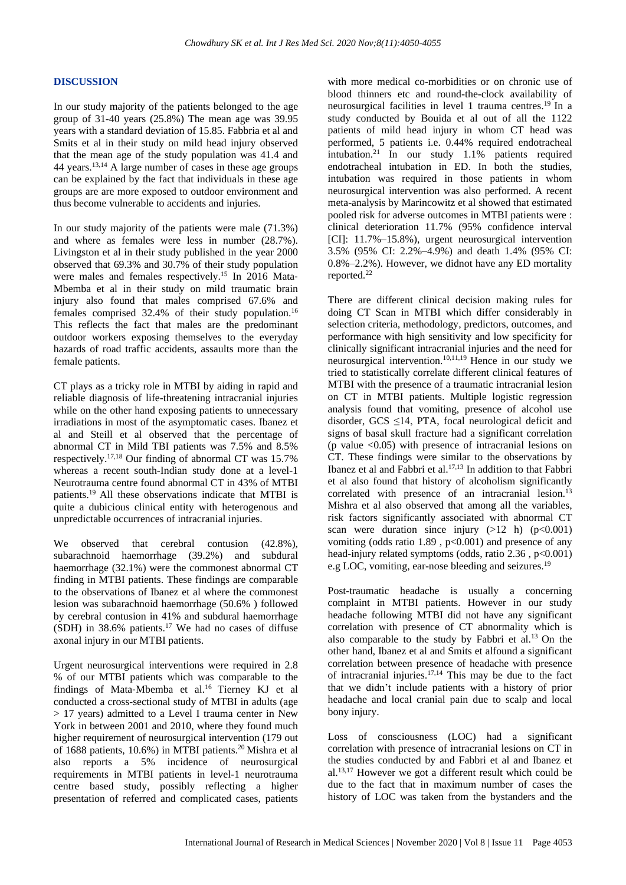#### **DISCUSSION**

In our study majority of the patients belonged to the age group of 31-40 years (25.8%) The mean age was 39.95 years with a standard deviation of 15.85. Fabbria et al and Smits et al in their study on mild head injury observed that the mean age of the study population was 41.4 and 44 years. 13,14 A large number of cases in these age groups can be explained by the fact that individuals in these age groups are are more exposed to outdoor environment and thus become vulnerable to accidents and injuries.

In our study majority of the patients were male (71.3%) and where as females were less in number (28.7%). Livingston et al in their study published in the year 2000 observed that 69.3% and 30.7% of their study population were males and females respectively.<sup>15</sup> In 2016 Mata-Mbemba et al in their study on mild traumatic brain injury also found that males comprised 67.6% and females comprised 32.4% of their study population.<sup>16</sup> This reflects the fact that males are the predominant outdoor workers exposing themselves to the everyday hazards of road traffic accidents, assaults more than the female patients.

CT plays as a tricky role in MTBI by aiding in rapid and reliable diagnosis of life-threatening intracranial injuries while on the other hand exposing patients to unnecessary irradiations in most of the asymptomatic cases. Ibanez et al and Steill et al observed that the percentage of abnormal CT in Mild TBI patients was 7.5% and 8.5% respectively.17,18 Our finding of abnormal CT was 15.7% whereas a recent south-Indian study done at a level-1 Neurotrauma centre found abnormal CT in 43% of MTBI patients.<sup>19</sup> All these observations indicate that MTBI is quite a dubicious clinical entity with heterogenous and unpredictable occurrences of intracranial injuries.

We observed that cerebral contusion (42.8%), subarachnoid haemorrhage (39.2%) and subdural haemorrhage (32.1%) were the commonest abnormal CT finding in MTBI patients. These findings are comparable to the observations of Ibanez et al where the commonest lesion was subarachnoid haemorrhage (50.6% ) followed by cerebral contusion in 41% and subdural haemorrhage (SDH) in 38.6% patients. <sup>17</sup> We had no cases of diffuse axonal injury in our MTBI patients.

Urgent neurosurgical interventions were required in 2.8 % of our MTBI patients which was comparable to the findings of Mata-Mbemba et al.<sup>16</sup> Tierney KJ et al conducted a cross-sectional study of MTBI in adults (age > 17 years) admitted to a Level I trauma center in New York in between 2001 and 2010, where they found much higher requirement of neurosurgical intervention (179 out of 1688 patients, 10.6%) in MTBI patients.<sup>20</sup> Mishra et al also reports a 5% incidence of neurosurgical requirements in MTBI patients in level-1 neurotrauma centre based study, possibly reflecting a higher presentation of referred and complicated cases, patients with more medical co-morbidities or on chronic use of blood thinners etc and round-the-clock availability of neurosurgical facilities in level 1 trauma centres.<sup>19</sup> In a study conducted by Bouida et al out of all the 1122 patients of mild head injury in whom CT head was performed, 5 patients i.e. 0.44% required endotracheal intubation.<sup>21</sup> In our study 1.1% patients required endotracheal intubation in ED. In both the studies, intubation was required in those patients in whom neurosurgical intervention was also performed. A recent meta-analysis by Marincowitz et al showed that estimated pooled risk for adverse outcomes in MTBI patients were : clinical deterioration 11.7% (95% confidence interval [CI]: 11.7%–15.8%), urgent neurosurgical intervention 3.5% (95% CI: 2.2%–4.9%) and death 1.4% (95% CI: 0.8%–2.2%). However, we didnot have any ED mortality reported.<sup>22</sup>

There are different clinical decision making rules for doing CT Scan in MTBI which differ considerably in selection criteria, methodology, predictors, outcomes, and performance with high sensitivity and low specificity for clinically significant intracranial injuries and the need for neurosurgical intervention.10,11,19 Hence in our study we tried to statistically correlate different clinical features of MTBI with the presence of a traumatic intracranial lesion on CT in MTBI patients. Multiple logistic regression analysis found that vomiting, presence of alcohol use disorder, GCS  $\leq$ 14, PTA, focal neurological deficit and signs of basal skull fracture had a significant correlation (p value  $\langle 0.05 \rangle$ ) with presence of intracranial lesions on CT. These findings were similar to the observations by Ibanez et al and Fabbri et al. 17,13 In addition to that Fabbri et al also found that history of alcoholism significantly correlated with presence of an intracranial lesion.<sup>13</sup> Mishra et al also observed that among all the variables, risk factors significantly associated with abnormal CT scan were duration since injury  $(>12 \text{ h})$   $(p<0.001)$ vomiting (odds ratio 1.89 , p<0.001) and presence of any head-injury related symptoms (odds, ratio 2.36, p<0.001) e.g LOC, vomiting, ear-nose bleeding and seizures.<sup>19</sup>

Post-traumatic headache is usually a concerning complaint in MTBI patients. However in our study headache following MTBI did not have any significant correlation with presence of CT abnormality which is also comparable to the study by Fabbri et al.<sup>13</sup> On the other hand, Ibanez et al and Smits et alfound a significant correlation between presence of headache with presence of intracranial injuries. 17,14 This may be due to the fact that we didn't include patients with a history of prior headache and local cranial pain due to scalp and local bony injury.

Loss of consciousness (LOC) had a significant correlation with presence of intracranial lesions on CT in the studies conducted by and Fabbri et al and Ibanez et al.13,17 However we got a different result which could be due to the fact that in maximum number of cases the history of LOC was taken from the bystanders and the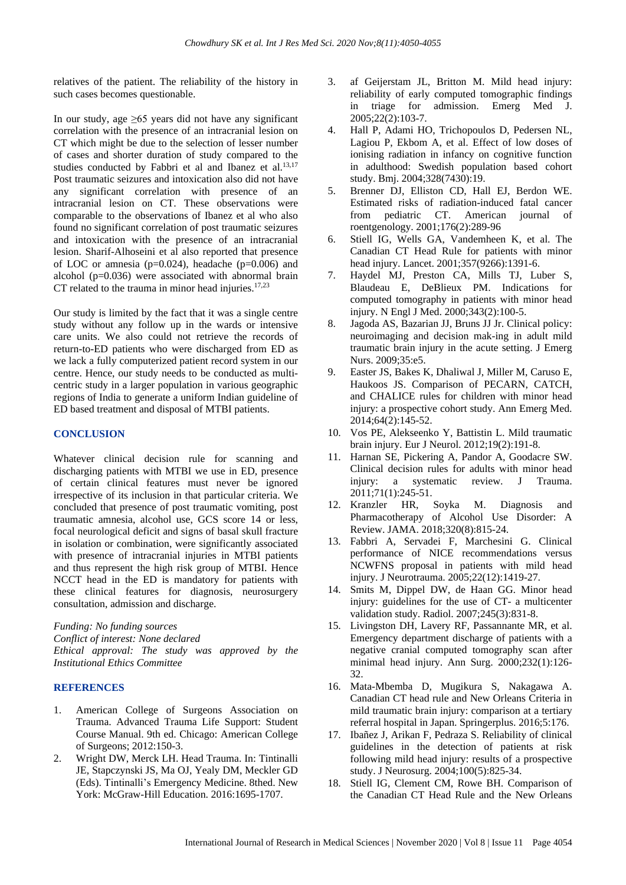relatives of the patient. The reliability of the history in such cases becomes questionable.

In our study, age  $\geq 65$  years did not have any significant correlation with the presence of an intracranial lesion on CT which might be due to the selection of lesser number of cases and shorter duration of study compared to the studies conducted by Fabbri et al and Ibanez et al.<sup>13,17</sup> Post traumatic seizures and intoxication also did not have any significant correlation with presence of an intracranial lesion on CT. These observations were comparable to the observations of Ibanez et al who also found no significant correlation of post traumatic seizures and intoxication with the presence of an intracranial lesion. Sharif-Alhoseini et al also reported that presence of LOC or amnesia ( $p=0.024$ ), headache ( $p=0.006$ ) and alcohol (p=0.036) were associated with abnormal brain CT related to the trauma in minor head injuries. $17,23$ 

Our study is limited by the fact that it was a single centre study without any follow up in the wards or intensive care units. We also could not retrieve the records of return-to-ED patients who were discharged from ED as we lack a fully computerized patient record system in our centre. Hence, our study needs to be conducted as multicentric study in a larger population in various geographic regions of India to generate a uniform Indian guideline of ED based treatment and disposal of MTBI patients.

#### **CONCLUSION**

Whatever clinical decision rule for scanning and discharging patients with MTBI we use in ED, presence of certain clinical features must never be ignored irrespective of its inclusion in that particular criteria. We concluded that presence of post traumatic vomiting, post traumatic amnesia, alcohol use, GCS score 14 or less, focal neurological deficit and signs of basal skull fracture in isolation or combination, were significantly associated with presence of intracranial injuries in MTBI patients and thus represent the high risk group of MTBI. Hence NCCT head in the ED is mandatory for patients with these clinical features for diagnosis, neurosurgery consultation, admission and discharge.

*Funding: No funding sources Conflict of interest: None declared Ethical approval: The study was approved by the Institutional Ethics Committee*

#### **REFERENCES**

- 1. American College of Surgeons Association on Trauma. Advanced Trauma Life Support: Student Course Manual. 9th ed. Chicago: American College of Surgeons; 2012:150-3.
- 2. Wright DW, Merck LH. Head Trauma. In: Tintinalli JE, Stapczynski JS, Ma OJ, Yealy DM, Meckler GD (Eds). Tintinalli's Emergency Medicine. 8thed. New York: McGraw-Hill Education. 2016:1695-1707.
- 3. af Geijerstam JL, Britton M. Mild head injury: reliability of early computed tomographic findings in triage for admission. Emerg Med J. 2005;22(2):103-7.
- 4. Hall P, Adami HO, Trichopoulos D, Pedersen NL, Lagiou P, Ekbom A, et al. Effect of low doses of ionising radiation in infancy on cognitive function in adulthood: Swedish population based cohort study. Bmj. 2004;328(7430):19.
- 5. Brenner DJ, Elliston CD, Hall EJ, Berdon WE. Estimated risks of radiation-induced fatal cancer from pediatric CT. American journal of roentgenology. 2001;176(2):289-96
- 6. Stiell IG, Wells GA, Vandemheen K, et al. The Canadian CT Head Rule for patients with minor head injury. Lancet. 2001;357(9266):1391-6.
- 7. Haydel MJ, Preston CA, Mills TJ, Luber S, Blaudeau E, DeBlieux PM. Indications for computed tomography in patients with minor head injury. N Engl J Med. 2000;343(2):100-5.
- 8. Jagoda AS, Bazarian JJ, Bruns JJ Jr. Clinical policy: neuroimaging and decision mak-ing in adult mild traumatic brain injury in the acute setting. J Emerg Nurs. 2009;35:e5.
- 9. Easter JS, Bakes K, Dhaliwal J, Miller M, Caruso E, Haukoos JS. Comparison of PECARN, CATCH, and CHALICE rules for children with minor head injury: a prospective cohort study. Ann Emerg Med. 2014;64(2):145-52.
- 10. Vos PE, Alekseenko Y, Battistin L. Mild traumatic brain injury. Eur J Neurol. 2012;19(2):191-8.
- 11. Harnan SE, Pickering A, Pandor A, Goodacre SW. Clinical decision rules for adults with minor head injury: a systematic review. J Trauma. 2011;71(1):245-51.
- 12. Kranzler HR, Soyka M. Diagnosis and Pharmacotherapy of Alcohol Use Disorder: A Review. JAMA. 2018;320(8):815-24.
- 13. Fabbri A, Servadei F, Marchesini G. Clinical performance of NICE recommendations versus NCWFNS proposal in patients with mild head injury. J Neurotrauma. 2005;22(12):1419-27.
- 14. Smits M, Dippel DW, de Haan GG. Minor head injury: guidelines for the use of CT- a multicenter validation study. Radiol. 2007;245(3):831-8.
- 15. Livingston DH, Lavery RF, Passannante MR, et al. Emergency department discharge of patients with a negative cranial computed tomography scan after minimal head injury. Ann Surg. 2000;232(1):126- 32.
- 16. Mata-Mbemba D, Mugikura S, Nakagawa A. Canadian CT head rule and New Orleans Criteria in mild traumatic brain injury: comparison at a tertiary referral hospital in Japan. Springerplus. 2016;5:176.
- 17. Ibañez J, Arikan F, Pedraza S. Reliability of clinical guidelines in the detection of patients at risk following mild head injury: results of a prospective study. J Neurosurg. 2004;100(5):825-34.
- 18. Stiell IG, Clement CM, Rowe BH. Comparison of the Canadian CT Head Rule and the New Orleans